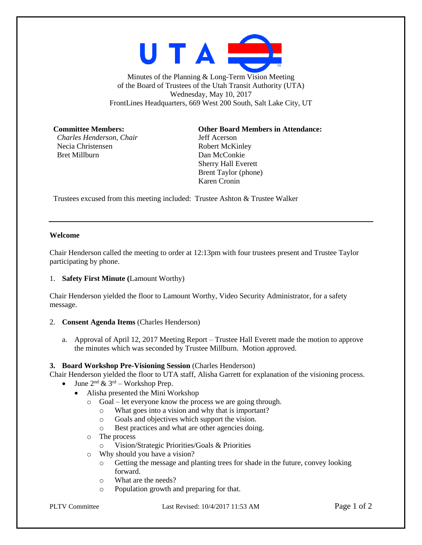

Minutes of the Planning & Long-Term Vision Meeting of the Board of Trustees of the Utah Transit Authority (UTA) Wednesday, May 10, 2017 FrontLines Headquarters, 669 West 200 South, Salt Lake City, UT

*Charles Henderson, Chair* Jeff Acerson Necia Christensen Robert McKinley Bret Millburn Dan McConkie

### **Committee Members: Other Board Members in Attendance:**

Sherry Hall Everett Brent Taylor (phone) Karen Cronin

Trustees excused from this meeting included: Trustee Ashton & Trustee Walker

## **Welcome**

Chair Henderson called the meeting to order at 12:13pm with four trustees present and Trustee Taylor participating by phone.

#### 1. **Safety First Minute (**Lamount Worthy)

Chair Henderson yielded the floor to Lamount Worthy, Video Security Administrator, for a safety message.

#### 2. **Consent Agenda Items** (Charles Henderson)

a. Approval of April 12, 2017 Meeting Report – Trustee Hall Everett made the motion to approve the minutes which was seconded by Trustee Millburn. Motion approved.

#### **3. Board Workshop Pre-Visioning Session** (Charles Henderson)

Chair Henderson yielded the floor to UTA staff, Alisha Garrett for explanation of the visioning process.

- June  $2^{nd} \& 3^{rd}$  Workshop Prep.
	- Alisha presented the Mini Workshop
		- o Goal let everyone know the process we are going through.
			- o What goes into a vision and why that is important?
			- o Goals and objectives which support the vision.
			- o Best practices and what are other agencies doing.
		- o The process
			- o Vision/Strategic Priorities/Goals & Priorities
		- o Why should you have a vision?
			- o Getting the message and planting trees for shade in the future, convey looking forward.
			- o What are the needs?
			- o Population growth and preparing for that.

PLTV Committee Last Revised: 10/4/2017 11:53 AM Page 1 of 2